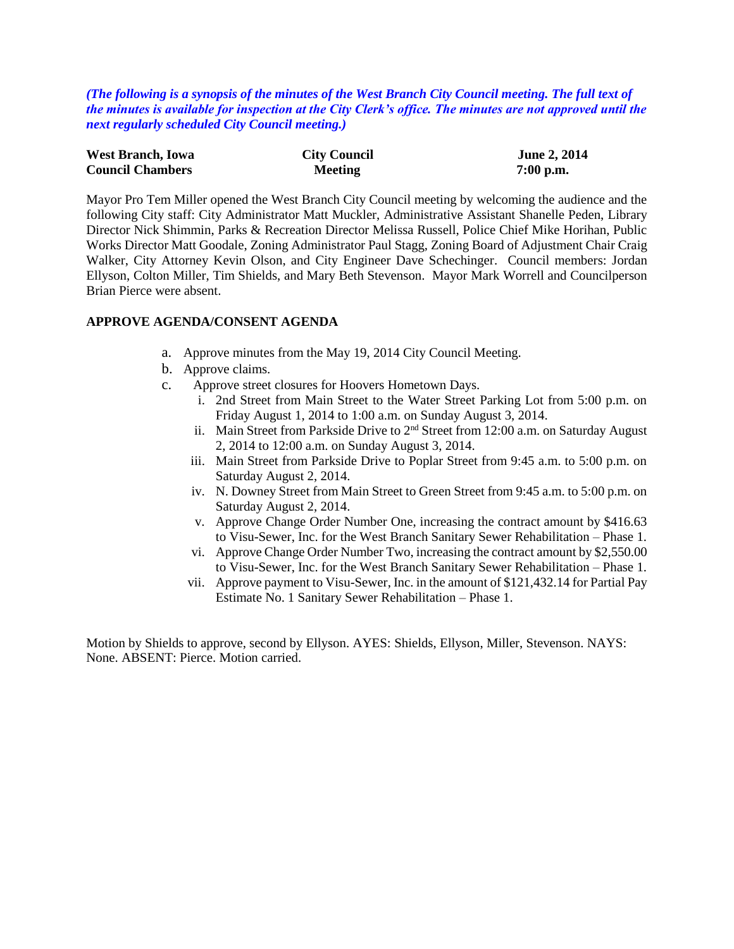*(The following is a synopsis of the minutes of the West Branch City Council meeting. The full text of the minutes is available for inspection at the City Clerk's office. The minutes are not approved until the next regularly scheduled City Council meeting.)*

| <b>West Branch, Iowa</b> | <b>City Council</b> | <b>June 2, 2014</b> |
|--------------------------|---------------------|---------------------|
| <b>Council Chambers</b>  | <b>Meeting</b>      | $7:00$ p.m.         |

Mayor Pro Tem Miller opened the West Branch City Council meeting by welcoming the audience and the following City staff: City Administrator Matt Muckler, Administrative Assistant Shanelle Peden, Library Director Nick Shimmin, Parks & Recreation Director Melissa Russell, Police Chief Mike Horihan, Public Works Director Matt Goodale, Zoning Administrator Paul Stagg, Zoning Board of Adjustment Chair Craig Walker, City Attorney Kevin Olson, and City Engineer Dave Schechinger. Council members: Jordan Ellyson, Colton Miller, Tim Shields, and Mary Beth Stevenson. Mayor Mark Worrell and Councilperson Brian Pierce were absent.

#### **APPROVE AGENDA/CONSENT AGENDA**

- a. Approve minutes from the May 19, 2014 City Council Meeting.
- b. Approve claims.
- c. Approve street closures for Hoovers Hometown Days.
	- i. 2nd Street from Main Street to the Water Street Parking Lot from 5:00 p.m. on Friday August 1, 2014 to 1:00 a.m. on Sunday August 3, 2014.
	- ii. Main Street from Parkside Drive to 2nd Street from 12:00 a.m. on Saturday August 2, 2014 to 12:00 a.m. on Sunday August 3, 2014.
	- iii. Main Street from Parkside Drive to Poplar Street from 9:45 a.m. to 5:00 p.m. on Saturday August 2, 2014.
	- iv. N. Downey Street from Main Street to Green Street from 9:45 a.m. to 5:00 p.m. on Saturday August 2, 2014.
	- v. Approve Change Order Number One, increasing the contract amount by \$416.63 to Visu-Sewer, Inc. for the West Branch Sanitary Sewer Rehabilitation – Phase 1.
	- vi. Approve Change Order Number Two, increasing the contract amount by \$2,550.00 to Visu-Sewer, Inc. for the West Branch Sanitary Sewer Rehabilitation – Phase 1.
	- vii. Approve payment to Visu-Sewer, Inc. in the amount of \$121,432.14 for Partial Pay Estimate No. 1 Sanitary Sewer Rehabilitation – Phase 1.

Motion by Shields to approve, second by Ellyson. AYES: Shields, Ellyson, Miller, Stevenson. NAYS: None. ABSENT: Pierce. Motion carried.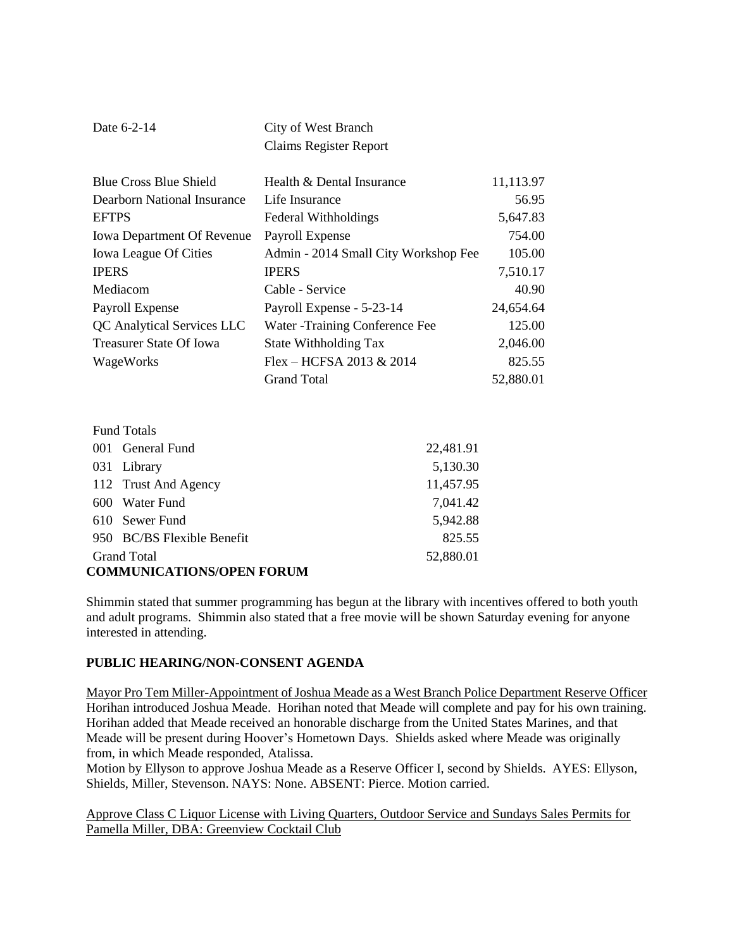| Date 6-2-14 | City of West Branch           |
|-------------|-------------------------------|
|             | <b>Claims Register Report</b> |

| <b>Blue Cross Blue Shield</b>     | Health & Dental Insurance            | 11,113.97 |
|-----------------------------------|--------------------------------------|-----------|
| Dearborn National Insurance       | Life Insurance                       | 56.95     |
| <b>EFTPS</b>                      | <b>Federal Withholdings</b>          | 5,647.83  |
| <b>Iowa Department Of Revenue</b> | Payroll Expense                      | 754.00    |
| <b>Iowa League Of Cities</b>      | Admin - 2014 Small City Workshop Fee | 105.00    |
| <b>IPERS</b>                      | <b>IPERS</b>                         | 7,510.17  |
| Mediacom                          | Cable - Service                      | 40.90     |
| Payroll Expense                   | Payroll Expense - 5-23-14            | 24,654.64 |
| QC Analytical Services LLC        | Water - Training Conference Fee      | 125.00    |
| <b>Treasurer State Of Iowa</b>    | State Withholding Tax                | 2,046.00  |
| WageWorks                         | Flex – HCFSA 2013 & 2014             | 825.55    |
|                                   | <b>Grand Total</b>                   | 52,880.01 |

| <b>Fund Totals</b>               |           |  |  |
|----------------------------------|-----------|--|--|
| General Fund<br>(001             | 22,481.91 |  |  |
| 031 Library                      | 5,130.30  |  |  |
| 112 Trust And Agency             | 11,457.95 |  |  |
| Water Fund<br>600                | 7,041.42  |  |  |
| Sewer Fund<br>610                | 5,942.88  |  |  |
| 950 BC/BS Flexible Benefit       | 825.55    |  |  |
| <b>Grand Total</b>               | 52,880.01 |  |  |
| <b>COMMUNICATIONS/OPEN FORUM</b> |           |  |  |

Shimmin stated that summer programming has begun at the library with incentives offered to both youth and adult programs. Shimmin also stated that a free movie will be shown Saturday evening for anyone interested in attending.

### **PUBLIC HEARING/NON-CONSENT AGENDA**

Mayor Pro Tem Miller-Appointment of Joshua Meade as a West Branch Police Department Reserve Officer Horihan introduced Joshua Meade. Horihan noted that Meade will complete and pay for his own training. Horihan added that Meade received an honorable discharge from the United States Marines, and that Meade will be present during Hoover's Hometown Days. Shields asked where Meade was originally from, in which Meade responded, Atalissa.

Motion by Ellyson to approve Joshua Meade as a Reserve Officer I, second by Shields. AYES: Ellyson, Shields, Miller, Stevenson. NAYS: None. ABSENT: Pierce. Motion carried.

Approve Class C Liquor License with Living Quarters, Outdoor Service and Sundays Sales Permits for Pamella Miller, DBA: Greenview Cocktail Club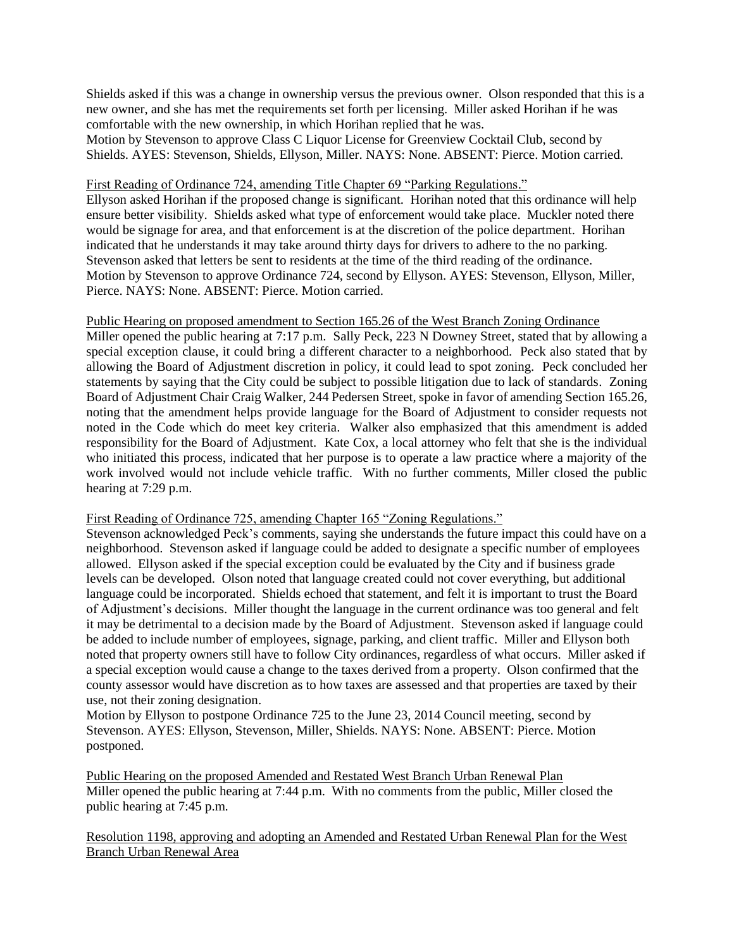Shields asked if this was a change in ownership versus the previous owner. Olson responded that this is a new owner, and she has met the requirements set forth per licensing. Miller asked Horihan if he was comfortable with the new ownership, in which Horihan replied that he was.

Motion by Stevenson to approve Class C Liquor License for Greenview Cocktail Club, second by Shields. AYES: Stevenson, Shields, Ellyson, Miller. NAYS: None. ABSENT: Pierce. Motion carried.

#### First Reading of Ordinance 724, amending Title Chapter 69 "Parking Regulations."

Ellyson asked Horihan if the proposed change is significant. Horihan noted that this ordinance will help ensure better visibility. Shields asked what type of enforcement would take place. Muckler noted there would be signage for area, and that enforcement is at the discretion of the police department. Horihan indicated that he understands it may take around thirty days for drivers to adhere to the no parking. Stevenson asked that letters be sent to residents at the time of the third reading of the ordinance. Motion by Stevenson to approve Ordinance 724, second by Ellyson. AYES: Stevenson, Ellyson, Miller, Pierce. NAYS: None. ABSENT: Pierce. Motion carried.

# Public Hearing on proposed amendment to Section 165.26 of the West Branch Zoning Ordinance

Miller opened the public hearing at 7:17 p.m. Sally Peck, 223 N Downey Street, stated that by allowing a special exception clause, it could bring a different character to a neighborhood. Peck also stated that by allowing the Board of Adjustment discretion in policy, it could lead to spot zoning. Peck concluded her statements by saying that the City could be subject to possible litigation due to lack of standards. Zoning Board of Adjustment Chair Craig Walker, 244 Pedersen Street, spoke in favor of amending Section 165.26, noting that the amendment helps provide language for the Board of Adjustment to consider requests not noted in the Code which do meet key criteria. Walker also emphasized that this amendment is added responsibility for the Board of Adjustment. Kate Cox, a local attorney who felt that she is the individual who initiated this process, indicated that her purpose is to operate a law practice where a majority of the work involved would not include vehicle traffic. With no further comments, Miller closed the public hearing at 7:29 p.m.

#### First Reading of Ordinance 725, amending Chapter 165 "Zoning Regulations."

Stevenson acknowledged Peck's comments, saying she understands the future impact this could have on a neighborhood. Stevenson asked if language could be added to designate a specific number of employees allowed. Ellyson asked if the special exception could be evaluated by the City and if business grade levels can be developed. Olson noted that language created could not cover everything, but additional language could be incorporated. Shields echoed that statement, and felt it is important to trust the Board of Adjustment's decisions. Miller thought the language in the current ordinance was too general and felt it may be detrimental to a decision made by the Board of Adjustment. Stevenson asked if language could be added to include number of employees, signage, parking, and client traffic. Miller and Ellyson both noted that property owners still have to follow City ordinances, regardless of what occurs. Miller asked if a special exception would cause a change to the taxes derived from a property. Olson confirmed that the county assessor would have discretion as to how taxes are assessed and that properties are taxed by their use, not their zoning designation.

Motion by Ellyson to postpone Ordinance 725 to the June 23, 2014 Council meeting, second by Stevenson. AYES: Ellyson, Stevenson, Miller, Shields. NAYS: None. ABSENT: Pierce. Motion postponed.

Public Hearing on the proposed Amended and Restated West Branch Urban Renewal Plan Miller opened the public hearing at 7:44 p.m. With no comments from the public, Miller closed the public hearing at 7:45 p.m.

Resolution 1198, approving and adopting an Amended and Restated Urban Renewal Plan for the West Branch Urban Renewal Area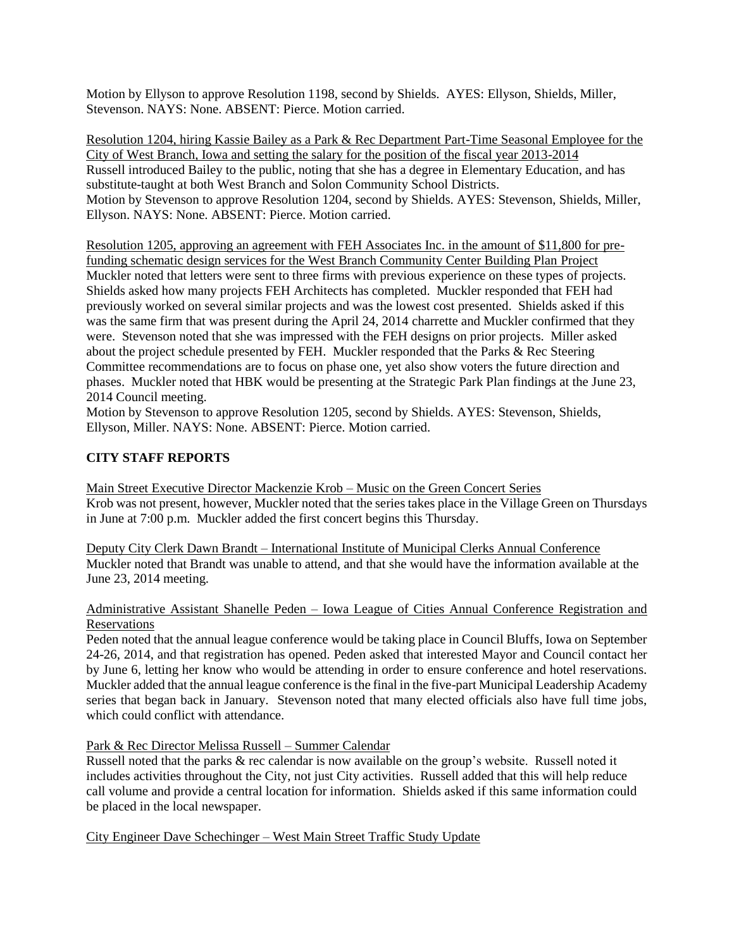Motion by Ellyson to approve Resolution 1198, second by Shields. AYES: Ellyson, Shields, Miller, Stevenson. NAYS: None. ABSENT: Pierce. Motion carried.

Resolution 1204, hiring Kassie Bailey as a Park & Rec Department Part-Time Seasonal Employee for the City of West Branch, Iowa and setting the salary for the position of the fiscal year 2013-2014 Russell introduced Bailey to the public, noting that she has a degree in Elementary Education, and has substitute-taught at both West Branch and Solon Community School Districts. Motion by Stevenson to approve Resolution 1204, second by Shields. AYES: Stevenson, Shields, Miller, Ellyson. NAYS: None. ABSENT: Pierce. Motion carried.

Resolution 1205, approving an agreement with FEH Associates Inc. in the amount of \$11,800 for prefunding schematic design services for the West Branch Community Center Building Plan Project Muckler noted that letters were sent to three firms with previous experience on these types of projects. Shields asked how many projects FEH Architects has completed. Muckler responded that FEH had previously worked on several similar projects and was the lowest cost presented. Shields asked if this was the same firm that was present during the April 24, 2014 charrette and Muckler confirmed that they were. Stevenson noted that she was impressed with the FEH designs on prior projects. Miller asked about the project schedule presented by FEH. Muckler responded that the Parks & Rec Steering Committee recommendations are to focus on phase one, yet also show voters the future direction and phases. Muckler noted that HBK would be presenting at the Strategic Park Plan findings at the June 23, 2014 Council meeting.

Motion by Stevenson to approve Resolution 1205, second by Shields. AYES: Stevenson, Shields, Ellyson, Miller. NAYS: None. ABSENT: Pierce. Motion carried.

### **CITY STAFF REPORTS**

Main Street Executive Director Mackenzie Krob – Music on the Green Concert Series Krob was not present, however, Muckler noted that the series takes place in the Village Green on Thursdays in June at 7:00 p.m. Muckler added the first concert begins this Thursday.

Deputy City Clerk Dawn Brandt – International Institute of Municipal Clerks Annual Conference Muckler noted that Brandt was unable to attend, and that she would have the information available at the June 23, 2014 meeting.

### Administrative Assistant Shanelle Peden – Iowa League of Cities Annual Conference Registration and Reservations

Peden noted that the annual league conference would be taking place in Council Bluffs, Iowa on September 24-26, 2014, and that registration has opened. Peden asked that interested Mayor and Council contact her by June 6, letting her know who would be attending in order to ensure conference and hotel reservations. Muckler added that the annual league conference is the final in the five-part Municipal Leadership Academy series that began back in January. Stevenson noted that many elected officials also have full time jobs, which could conflict with attendance.

Park & Rec Director Melissa Russell – Summer Calendar

Russell noted that the parks & rec calendar is now available on the group's website. Russell noted it includes activities throughout the City, not just City activities. Russell added that this will help reduce call volume and provide a central location for information. Shields asked if this same information could be placed in the local newspaper.

City Engineer Dave Schechinger – West Main Street Traffic Study Update